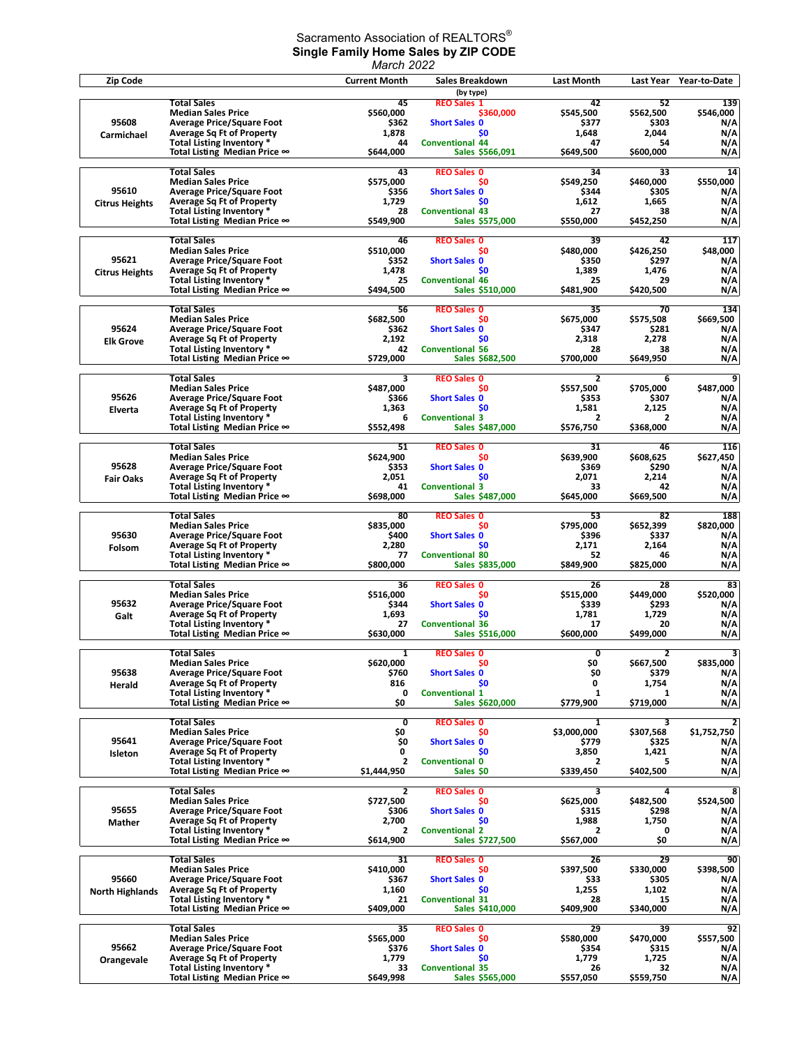## Sacramento Association of REALTORS $^\circ$ **Single Family Home Sales by ZIP CODE** *March 2022*

| Zip Code               |                                                                      | <b>Current Month</b> | Sales Breakdown<br>(by type)              | Last Month           | Last Year          | Year-to-Date                         |
|------------------------|----------------------------------------------------------------------|----------------------|-------------------------------------------|----------------------|--------------------|--------------------------------------|
|                        | <b>Total Sales</b>                                                   | 45                   | <b>REO Sales 1</b>                        | 42                   | 52                 | 139                                  |
|                        | <b>Median Sales Price</b>                                            | \$560,000            | \$360.000                                 | \$545,500            | \$562,500          | \$546,000                            |
| 95608                  | <b>Average Price/Square Foot</b>                                     | \$362                | <b>Short Sales 0</b>                      | \$377                | \$303              | N/A                                  |
| Carmichael             | <b>Average Sq Ft of Property</b><br>Total Listing Inventory *        | 1,878<br>44          | \$0<br><b>Conventional 44</b>             | 1,648<br>47          | 2,044<br>54        | N/A<br>N/A                           |
|                        | Total Listing Median Price ∞                                         | \$644,000            | Sales \$566,091                           | \$649,500            | \$600,000          | N/A                                  |
|                        | <b>Total Sales</b>                                                   | 43                   | <b>REO Sales 0</b>                        | 34                   | 33                 | 14                                   |
|                        | <b>Median Sales Price</b>                                            | \$575,000            | \$0                                       | \$549,250            | \$460,000          | \$550,000                            |
| 95610                  | <b>Average Price/Square Foot</b>                                     | \$356                | <b>Short Sales 0</b>                      | \$344                | \$305              | N/A                                  |
| <b>Citrus Heights</b>  | <b>Average Sq Ft of Property</b>                                     | 1,729                | \$O                                       | 1,612                | 1,665              | N/A                                  |
|                        | Total Listing Inventory *<br>Total Listing Median Price ∞            | 28<br>\$549.900      | <b>Conventional 43</b><br>Sales \$575,000 | 27<br>\$550,000      | 38<br>\$452,250    | N/A<br>N/A                           |
|                        |                                                                      |                      |                                           |                      |                    |                                      |
|                        | <b>Total Sales</b><br><b>Median Sales Price</b>                      | 46<br>\$510,000      | <b>REO Sales 0</b><br>\$0                 | 39<br>\$480,000      | 42<br>\$426,250    | 117<br>\$48,000                      |
| 95621                  | <b>Average Price/Square Foot</b>                                     | \$352                | <b>Short Sales 0</b>                      | \$350                | \$297              | N/A                                  |
| <b>Citrus Heights</b>  | <b>Average Sq Ft of Property</b>                                     | 1,478                | \$O                                       | 1,389                | 1,476              | N/A                                  |
|                        | Total Listing Inventory *<br>Total Listing Median Price ∞            | 25<br>\$494,500      | <b>Conventional 46</b><br>Sales \$510,000 | 25<br>\$481,900      | 29<br>\$420,500    | N/A<br>N/A                           |
|                        |                                                                      |                      |                                           |                      |                    |                                      |
|                        | <b>Total Sales</b>                                                   | 56                   | <b>REO Sales 0</b>                        | 35                   | 70                 | 134                                  |
| 95624                  | <b>Median Sales Price</b><br><b>Average Price/Square Foot</b>        | \$682,500<br>\$362   | \$0<br><b>Short Sales 0</b>               | \$675,000<br>\$347   | \$575,508<br>\$281 | \$669,500<br>N/A                     |
| <b>Elk Grove</b>       | <b>Average Sq Ft of Property</b>                                     | 2,192                | \$0                                       | 2,318                | 2,278              | N/A                                  |
|                        | Total Listing Inventory *                                            | 42                   | <b>Conventional 56</b>                    | 28                   | 38                 | N/A                                  |
|                        | Total Listing Median Price ∞                                         | \$729,000            | Sales \$682,500                           | \$700,000            | \$649,950          | N/A                                  |
|                        | <b>Total Sales</b>                                                   | 3                    | <b>REO Sales 0</b>                        | $\overline{2}$       | 6                  | 9                                    |
| 95626                  | <b>Median Sales Price</b><br><b>Average Price/Square Foot</b>        | \$487,000            | S0                                        | \$557,500            | \$705,000          | \$487,000                            |
| Elverta                | <b>Average Sq Ft of Property</b>                                     | \$366<br>1.363       | <b>Short Sales 0</b><br>\$0               | \$353<br>1,581       | \$307<br>2,125     | N/A<br>N/A                           |
|                        | <b>Total Listing Inventory *</b>                                     | 6                    | <b>Conventional 3</b>                     | 2                    | $\overline{2}$     | N/A                                  |
|                        | Total Listing Median Price ∞                                         | \$552,498            | Sales \$487,000                           | \$576,750            | \$368,000          | N/A                                  |
|                        | <b>Total Sales</b>                                                   | 51                   | <b>REO Sales 0</b>                        | 31                   | 46                 | 116                                  |
|                        | <b>Median Sales Price</b>                                            | \$624,900            | \$0                                       | \$639,900            | \$608,625          | \$627,450                            |
| 95628                  | <b>Average Price/Square Foot</b>                                     | \$353<br>2,051       | <b>Short Sales 0</b><br>\$O               | \$369<br>2,071       | \$290<br>2,214     | N/A<br>N/A                           |
| <b>Fair Oaks</b>       | <b>Average Sq Ft of Property</b><br>Total Listing Inventory *        | 41                   | <b>Conventional 3</b>                     | 33                   | 42                 | N/A                                  |
|                        | Total Listing Median Price ∞                                         | \$698,000            | Sales \$487,000                           | \$645,000            | \$669,500          | N/A                                  |
|                        | <b>Total Sales</b>                                                   | 80                   | <b>REO Sales 0</b>                        | 53                   | 82                 | 188                                  |
|                        | <b>Median Sales Price</b>                                            | \$835,000            | \$0                                       | \$795,000            | \$652,399          | \$820,000                            |
| 95630                  | <b>Average Price/Square Foot</b>                                     | \$400                | <b>Short Sales 0</b>                      | \$396                | \$337              | N/A                                  |
| Folsom                 | <b>Average Sq Ft of Property</b>                                     | 2,280                | \$0                                       | 2,171                | 2,164<br>46        | N/A<br>N/A                           |
|                        | Total Listing Inventory *<br>Total Listing Median Price ∞            | 77<br>\$800,000      | <b>Conventional 80</b><br>Sales \$835,000 | 52<br>\$849,900      | \$825,000          | N/A                                  |
|                        |                                                                      |                      |                                           |                      |                    |                                      |
|                        | <b>Total Sales</b><br><b>Median Sales Price</b>                      | 36<br>\$516,000      | <b>REO Sales 0</b><br>\$0                 | 26<br>\$515,000      | 28<br>\$449,000    | 83<br>\$520,000                      |
| 95632                  | <b>Average Price/Square Foot</b>                                     | \$344                | <b>Short Sales 0</b>                      | \$339                | \$293              | N/A                                  |
| Galt                   | <b>Average Sq Ft of Property</b>                                     | 1,693                | \$0                                       | 1,781                | 1,729              | N/A                                  |
|                        | Total Listing Inventory *<br>Total Listing Median Price ∞            | 27<br>\$630,000      | <b>Conventional 36</b><br>Sales \$516,000 | 17<br>\$600,000      | 20<br>\$499,000    | N/A<br>N/A                           |
|                        |                                                                      |                      |                                           |                      |                    |                                      |
|                        | <b>Total Sales</b><br><b>Median Sales Price</b>                      | 1<br>\$620,000       | <b>REO Sales 0</b><br><b>SO</b>           | 0<br>\$0             | 2<br>\$667,500     | $\overline{\mathbf{3}}$<br>\$835,000 |
| 95638                  | <b>Average Price/Square Foot</b>                                     | \$760                | <b>Short Sales 0</b>                      | \$0                  | \$379              | N/A                                  |
| Herald                 | <b>Average Sq Ft of Property</b>                                     | 816                  | \$0                                       | 0                    | 1,754              | N/A                                  |
|                        | Total Listing Inventory *                                            | 0<br>\$0             | <b>Conventional 1</b>                     | 1                    | 1                  | N/A                                  |
|                        | Total Listing Median Price ∞                                         |                      | Sales \$620,000                           | \$779,900            | \$719,000          | N/A                                  |
|                        | <b>Total Sales</b>                                                   | 0                    | <b>REO Sales 0</b>                        | 1                    | 3                  | 2                                    |
| 95641                  | <b>Median Sales Price</b><br><b>Average Price/Square Foot</b>        | \$0<br>\$0           | S0<br><b>Short Sales 0</b>                | \$3,000,000<br>\$779 | \$307,568<br>\$325 | \$1,752,750<br>N/A                   |
| Isleton                | <b>Average Sq Ft of Property</b>                                     | 0                    | \$O                                       | 3,850                | 1,421              | N/A                                  |
|                        | Total Listing Inventory *                                            | $\overline{2}$       | <b>Conventional 0</b>                     | 2                    | 5                  | N/A                                  |
|                        | Total Listing Median Price ∞                                         | \$1,444,950          | Sales \$0                                 | \$339,450            | \$402,500          | N/A                                  |
|                        | <b>Total Sales</b>                                                   | 2                    | <b>REO Sales 0</b>                        | 3                    | 4                  | 8                                    |
|                        | <b>Median Sales Price</b>                                            | \$727,500            | \$0                                       | \$625,000            | \$482,500          | \$524,500                            |
| 95655                  | <b>Average Price/Square Foot</b><br><b>Average Sq Ft of Property</b> | \$306<br>2,700       | <b>Short Sales 0</b><br>\$0               | \$315<br>1,988       | \$298<br>1,750     | N/A<br>N/A                           |
| Mather                 | Total Listing Inventory *                                            | $\overline{2}$       | <b>Conventional 2</b>                     | 2                    | 0                  | N/A                                  |
|                        | Total Listing Median Price ∞                                         | \$614,900            | Sales \$727,500                           | \$567,000            | \$0                | N/A                                  |
|                        | <b>Total Sales</b>                                                   | 31                   | <b>REO Sales 0</b>                        | 26                   | 29                 | 90                                   |
|                        | <b>Median Sales Price</b>                                            | \$410,000            | \$0                                       | \$397,500            | \$330,000          | \$398,500                            |
| 95660                  | <b>Average Price/Square Foot</b>                                     | \$367                | <b>Short Sales 0</b>                      | \$33                 | \$305              | N/A                                  |
| <b>North Highlands</b> | <b>Average Sq Ft of Property</b><br>Total Listing Inventory *        | 1,160<br>21          | \$0<br><b>Conventional 31</b>             | 1,255<br>28          | 1,102<br>15        | N/A<br>N/A                           |
|                        | Total Listing Median Price ∞                                         | \$409,000            | Sales \$410,000                           | \$409,900            | \$340,000          | N/A                                  |
|                        | <b>Total Sales</b>                                                   |                      |                                           |                      |                    | 92                                   |
|                        | <b>Median Sales Price</b>                                            | 35<br>\$565,000      | <b>REO Sales 0</b><br>\$0                 | 29<br>\$580,000      | 39<br>\$470,000    | \$557,500                            |
| 95662                  | <b>Average Price/Square Foot</b>                                     | \$376                | <b>Short Sales 0</b>                      | \$354                | \$315              | N/A                                  |
| Orangevale             | <b>Average Sq Ft of Property</b><br>Total Listing Inventory *        | 1,779<br>33          | \$O<br><b>Conventional 35</b>             | 1,779<br>26          | 1,725<br>32        | N/A<br>N/A                           |
|                        | Total Listing Median Price ∞                                         | \$649,998            | Sales \$565,000                           | \$557,050            | \$559,750          | N/A                                  |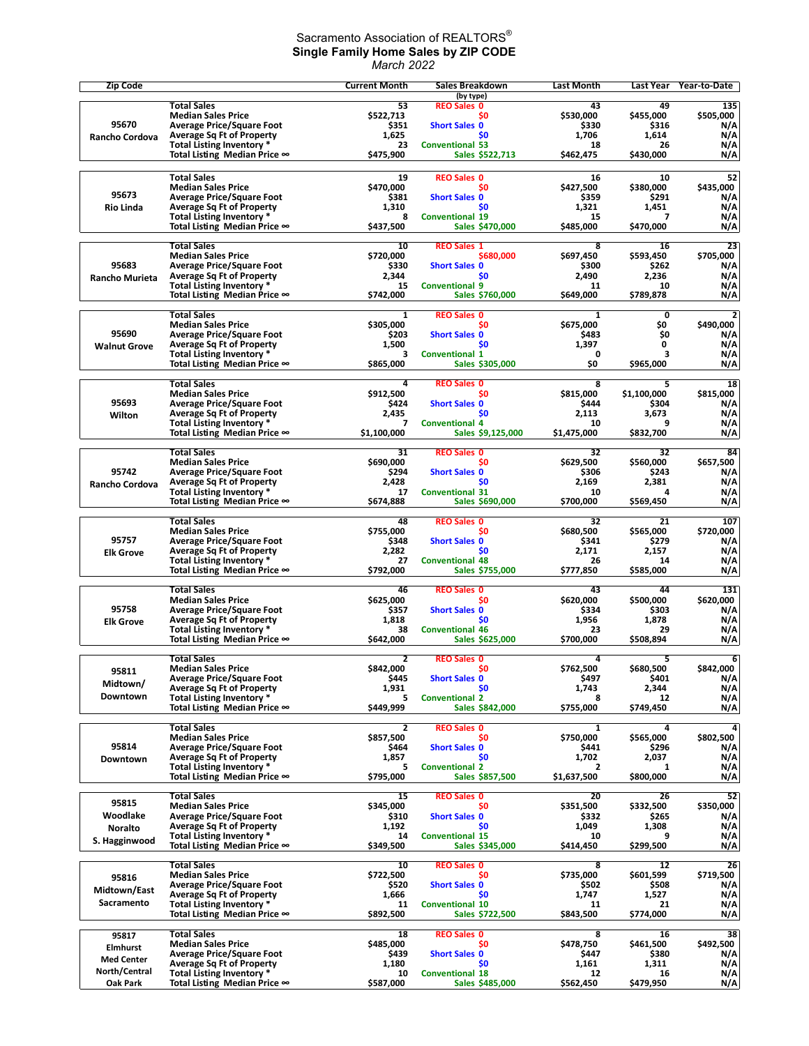## Sacramento Association of REALTORS $^\circ$ **Single Family Home Sales by ZIP CODE** *March 2022*

| Zip Code                 |                                                                      | <b>Current Month</b> | Sales Breakdown                           | Last Month         | Last Year            | Year-to-Date                |
|--------------------------|----------------------------------------------------------------------|----------------------|-------------------------------------------|--------------------|----------------------|-----------------------------|
|                          | <b>Total Sales</b>                                                   | 53                   | (by type)<br><b>REO Sales 0</b>           | 43                 | 49                   | 135                         |
|                          | <b>Median Sales Price</b>                                            | \$522,713            | \$0                                       | \$530,000          | \$455,000            | \$505,000                   |
| 95670                    | <b>Average Price/Square Foot</b>                                     | \$351                | <b>Short Sales 0</b>                      | \$330              | \$316                | N/A                         |
| Rancho Cordova           | <b>Average Sq Ft of Property</b><br>Total Listing Inventory *        | 1,625<br>23          | \$O<br><b>Conventional 53</b>             | 1,706<br>18        | 1,614<br>26          | N/A<br>N/A                  |
|                          | Total Listing Median Price ∞                                         | \$475,900            | Sales \$522,713                           | \$462,475          | \$430,000            | N/A                         |
|                          |                                                                      |                      |                                           |                    |                      |                             |
|                          | <b>Total Sales</b><br><b>Median Sales Price</b>                      | 19<br>\$470,000      | <b>REO Sales 0</b><br>\$0                 | 16<br>\$427,500    | 10<br>\$380,000      | 52<br>\$435,000             |
| 95673                    | <b>Average Price/Square Foot</b>                                     | \$381                | <b>Short Sales 0</b>                      | \$359              | \$291                | N/A                         |
| <b>Rio Linda</b>         | <b>Average Sq Ft of Property</b>                                     | 1,310                | \$0                                       | 1,321              | 1,451                | N/A                         |
|                          | Total Listing Inventory *<br>Total Listing Median Price ∞            | 8<br>\$437,500       | <b>Conventional 19</b><br>Sales \$470,000 | 15<br>\$485,000    | 7<br>\$470,000       | N/A<br>N/A                  |
|                          |                                                                      |                      |                                           |                    |                      |                             |
|                          | <b>Total Sales</b><br><b>Median Sales Price</b>                      | 10<br>\$720,000      | <b>REO Sales 1</b><br>\$680,000           | 8<br>\$697.450     | 16<br>\$593,450      | 23<br>\$705,000             |
| 95683                    | <b>Average Price/Square Foot</b>                                     | \$330                | <b>Short Sales 0</b>                      | \$300              | \$262                | N/A                         |
| Rancho Murieta           | <b>Average Sq Ft of Property</b>                                     | 2,344                | \$0                                       | 2,490              | 2,236                | N/A                         |
|                          | Total Listing Inventory *<br>Total Listing Median Price ∞            | 15<br>\$742,000      | <b>Conventional 9</b><br>Sales \$760,000  | 11<br>\$649,000    | 10<br>\$789,878      | N/A<br>N/A                  |
|                          |                                                                      |                      |                                           |                    |                      |                             |
|                          | <b>Total Sales</b><br><b>Median Sales Price</b>                      | 1<br>\$305,000       | <b>REO Sales 0</b><br>\$0                 | 1<br>\$675,000     | $\mathbf 0$<br>\$O   | $\overline{2}$<br>\$490,000 |
| 95690                    | <b>Average Price/Square Foot</b>                                     | \$203                | <b>Short Sales 0</b>                      | \$483              | \$0                  | N/A                         |
| <b>Walnut Grove</b>      | <b>Average Sq Ft of Property</b>                                     | 1,500                | \$0                                       | 1,397              | 0                    | N/A                         |
|                          | Total Listing Inventory *<br>Total Listing Median Price ∞            | 3<br>\$865,000       | <b>Conventional 1</b><br>Sales \$305,000  | $\mathbf 0$<br>\$0 | 3<br>\$965,000       | N/A<br>N/A                  |
|                          |                                                                      |                      |                                           |                    |                      |                             |
|                          | <b>Total Sales</b>                                                   | 4                    | <b>REO Sales 0</b>                        | 8                  | 5                    | 18                          |
| 95693                    | <b>Median Sales Price</b><br><b>Average Price/Square Foot</b>        | \$912,500<br>\$424   | \$0<br><b>Short Sales 0</b>               | \$815,000<br>\$444 | \$1,100,000<br>\$304 | \$815,000<br>N/A            |
| Wilton                   | <b>Average Sq Ft of Property</b>                                     | 2,435                | \$0                                       | 2,113              | 3,673                | N/A                         |
|                          | Total Listing Inventory *                                            | 7                    | <b>Conventional 4</b>                     | 10                 | 9                    | N/A                         |
|                          | Total Listing Median Price ∞                                         | \$1,100,000          | Sales \$9,125,000                         | \$1,475,000        | \$832,700            | N/A                         |
|                          | <b>Total Sales</b>                                                   | 31                   | <b>REO Sales 0</b>                        | 32                 | 32                   | 84                          |
| 95742                    | <b>Median Sales Price</b><br><b>Average Price/Square Foot</b>        | \$690,000<br>\$294   | \$0<br><b>Short Sales 0</b>               | \$629,500<br>\$306 | \$560,000<br>\$243   | \$657,500<br>N/A            |
| Rancho Cordova           | <b>Average Sq Ft of Property</b>                                     | 2,428                | \$0                                       | 2,169              | 2,381                | N/A                         |
|                          | Total Listing Inventory *                                            | 17                   | <b>Conventional 31</b>                    | 10                 | 4                    | N/A                         |
|                          | Total Listing Median Price $\infty$                                  | \$674,888            | Sales \$690,000                           | \$700,000          | \$569,450            | N/A                         |
|                          | <b>Total Sales</b>                                                   | 48                   | <b>REO Sales 0</b>                        | 32                 | 21                   | 107                         |
| 95757                    | <b>Median Sales Price</b>                                            | \$755,000            | \$0                                       | \$680,500          | \$565,000            | \$720,000                   |
| <b>Elk Grove</b>         | <b>Average Price/Square Foot</b><br><b>Average Sq Ft of Property</b> | \$348<br>2,282       | <b>Short Sales 0</b><br>\$O               | \$341<br>2,171     | \$279<br>2,157       | N/A<br>N/A                  |
|                          | Total Listing Inventory *                                            | 27                   | <b>Conventional 48</b>                    | 26                 | 14                   | N/A                         |
|                          | Total Listing Median Price ∞                                         | \$792,000            | Sales \$755,000                           | \$777,850          | \$585,000            | N/A                         |
|                          | <b>Total Sales</b>                                                   | 46                   | <b>REO Sales 0</b>                        | 43                 | 44                   | 131                         |
| 95758                    | <b>Median Sales Price</b>                                            | \$625,000            | \$0                                       | \$620,000          | \$500,000            | \$620,000                   |
| <b>Elk Grove</b>         | <b>Average Price/Square Foot</b><br><b>Average Sq Ft of Property</b> | \$357<br>1,818       | <b>Short Sales 0</b><br>\$O               | \$334<br>1,956     | \$303<br>1,878       | N/A<br>N/A                  |
|                          | Total Listing Inventory *                                            | 38                   | <b>Conventional 46</b>                    | 23                 | 29                   | N/A                         |
|                          | Total Listing Median Price ∞                                         | \$642,000            | Sales \$625,000                           | \$700,000          | \$508,894            | N/A                         |
|                          | <b>Total Sales</b>                                                   | $\overline{2}$       | <b>REO Sales 0</b>                        | 4                  | 5                    | 6                           |
| 95811                    | <b>Median Sales Price</b>                                            | \$842,000            | -SO                                       | \$762,500          | \$680,500            | \$842,000                   |
| Midtown/                 | <b>Average Price/Square Foot</b><br><b>Average Sq Ft of Property</b> | \$445<br>1,931       | <b>Short Sales 0</b><br>\$0               | \$497<br>1,743     | \$401<br>2,344       | N/A<br>N/A                  |
| Downtown                 | Total Listing Inventory *                                            | 5                    | <b>Conventional 2</b>                     | 8                  | 12                   | N/A                         |
|                          | Total Listing Median Price ∞                                         | \$449,999            | Sales \$842,000                           | \$755,000          | \$749,450            | N/A                         |
|                          | <b>Total Sales</b>                                                   | $\mathbf{z}$         | <b>REO Sales 0</b>                        | 1                  | 4                    | 4                           |
|                          | <b>Median Sales Price</b>                                            | \$857,500            | \$0                                       | \$750,000          | \$565,000            | \$802,500                   |
| 95814                    | <b>Average Price/Square Foot</b><br><b>Average Sq Ft of Property</b> | \$464<br>1,857       | <b>Short Sales 0</b><br>\$O               | \$441<br>1,702     | \$296<br>2,037       | N/A<br>N/A                  |
| Downtown                 | Total Listing Inventory *                                            | 5                    | <b>Conventional 2</b>                     | 2                  | 1                    | N/A                         |
|                          | Total Listing Median Price ∞                                         | \$795,000            | Sales \$857,500                           | \$1,637,500        | \$800,000            | N/A                         |
|                          | <b>Total Sales</b>                                                   | 15                   | <b>REO Sales 0</b>                        | 20                 | 26                   | 52                          |
| 95815                    | <b>Median Sales Price</b>                                            | \$345,000            | \$0                                       | \$351,500          | \$332,500            | \$350,000                   |
| Woodlake                 | <b>Average Price/Square Foot</b><br><b>Average Sq Ft of Property</b> | \$310<br>1,192       | <b>Short Sales 0</b><br>\$O               | \$332<br>1,049     | \$265<br>1,308       | N/A<br>N/A                  |
| <b>Noralto</b>           | Total Listing Inventory *                                            | 14                   | <b>Conventional 15</b>                    | 10                 | 9                    | N/A                         |
| S. Hagginwood            | Total Listing Median Price ∞                                         | \$349,500            | Sales \$345,000                           | \$414,450          | \$299,500            | N/A                         |
|                          | <b>Total Sales</b>                                                   | 10                   | <b>REO Sales 0</b>                        | 8                  | 12                   | 26                          |
| 95816                    | <b>Median Sales Price</b>                                            | \$722,500            | \$0                                       | \$735,000          | \$601,599            | \$719,500                   |
| Midtown/East             | <b>Average Price/Square Foot</b>                                     | \$520                | <b>Short Sales 0</b>                      | \$502              | \$508                | N/A                         |
| Sacramento               | <b>Average Sq Ft of Property</b><br>Total Listing Inventory *        | 1,666<br>11          | \$0<br><b>Conventional 10</b>             | 1,747<br>11        | 1,527<br>21          | N/A<br>N/A                  |
|                          | Total Listing Median Price $\infty$                                  | \$892,500            | Sales \$722,500                           | \$843,500          | \$774,000            | N/A                         |
|                          | <b>Total Sales</b>                                                   | 18                   | <b>REO Sales 0</b>                        | 8                  | 16                   | 38                          |
| 95817<br><b>Elmhurst</b> | <b>Median Sales Price</b>                                            | \$485,000            | \$0                                       | \$478,750          | \$461,500            | \$492,500                   |
| <b>Med Center</b>        | <b>Average Price/Square Foot</b>                                     | \$439                | <b>Short Sales 0</b>                      | \$447              | \$380                | N/A                         |
| North/Central            | <b>Average Sq Ft of Property</b><br>Total Listing Inventory *        | 1,180<br>10          | \$0<br><b>Conventional 18</b>             | 1,161<br>12        | 1,311<br>16          | N/A<br>N/A                  |
| Oak Park                 | Total Listing Median Price ∞                                         | \$587,000            | Sales \$485,000                           | \$562,450          | \$479,950            | N/A                         |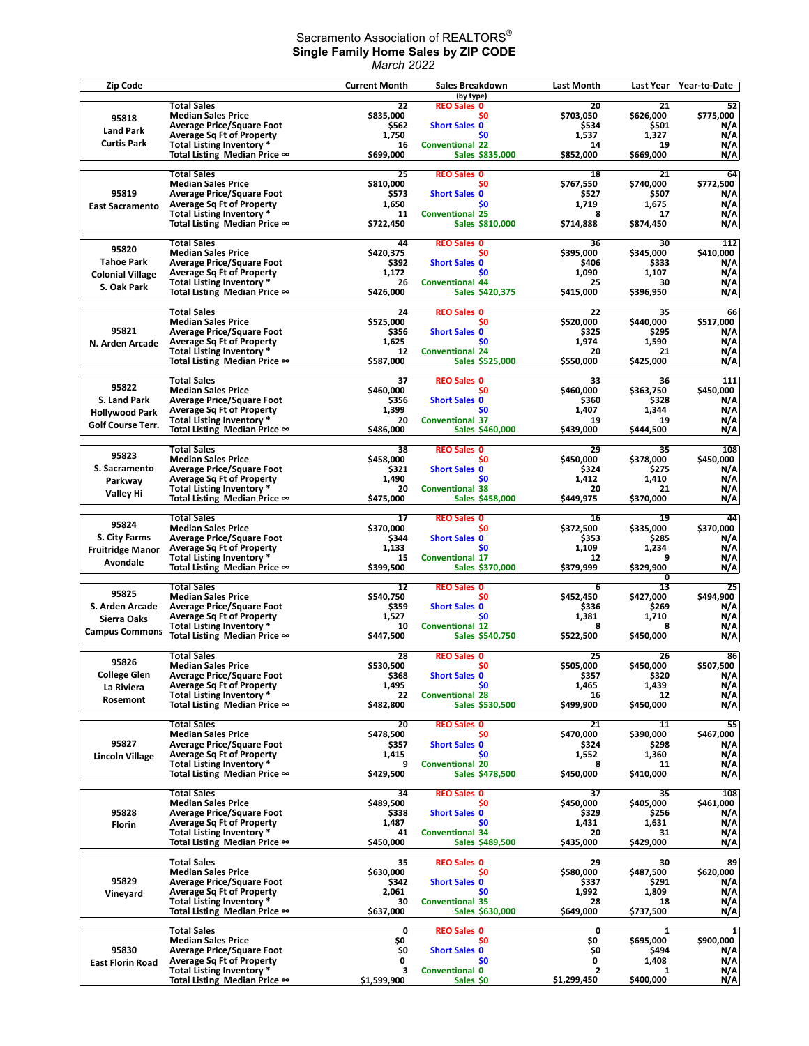## Sacramento Association of REALTORS $^\circ$ **Single Family Home Sales by ZIP CODE** *March 2022*

| <b>Zip Code</b>                       |                                                                      | <b>Current Month</b>           | Sales Breakdown                           | <b>Last Month</b>              | Last Year          | Year-to-Date                         |
|---------------------------------------|----------------------------------------------------------------------|--------------------------------|-------------------------------------------|--------------------------------|--------------------|--------------------------------------|
|                                       | <b>Total Sales</b>                                                   | 22                             | (by type)<br><b>REO Sales 0</b>           | 20                             | 21                 | 52                                   |
| 95818                                 | <b>Median Sales Price</b>                                            | \$835,000                      | \$0                                       | \$703.050                      | \$626,000          | \$775,000                            |
| <b>Land Park</b>                      | <b>Average Price/Square Foot</b>                                     | \$562<br>1,750                 | <b>Short Sales 0</b><br>\$0               | \$534<br>1,537                 | \$501<br>1,327     | N/A                                  |
| <b>Curtis Park</b>                    | <b>Average Sq Ft of Property</b><br>Total Listing Inventory *        | 16                             | <b>Conventional 22</b>                    | 14                             | 19                 | N/A<br>N/A                           |
|                                       | Total Listing Median Price ∞                                         | \$699,000                      | Sales \$835,000                           | \$852,000                      | \$669,000          | N/A                                  |
|                                       | <b>Total Sales</b>                                                   | 25                             | <b>REO Sales 0</b>                        | 18                             | 21                 | 64                                   |
|                                       | <b>Median Sales Price</b>                                            | \$810,000                      | \$0                                       | \$767,550                      | \$740,000          | \$772,500                            |
| 95819                                 | <b>Average Price/Square Foot</b>                                     | \$573                          | <b>Short Sales 0</b>                      | \$527                          | \$507              | N/A                                  |
| <b>East Sacramento</b>                | <b>Average Sq Ft of Property</b><br>Total Listing Inventory *        | 1,650<br>11                    | \$0<br><b>Conventional 25</b>             | 1,719<br>8                     | 1,675<br>17        | N/A<br>N/A                           |
|                                       | Total Listing Median Price ∞                                         | \$722,450                      | Sales \$810,000                           | \$714,888                      | \$874,450          | N/A                                  |
|                                       |                                                                      |                                |                                           |                                |                    |                                      |
| 95820                                 | <b>Total Sales</b><br><b>Median Sales Price</b>                      | 44<br>\$420,375                | <b>REO Sales 0</b><br>\$0                 | 36<br>\$395.000                | 30<br>\$345,000    | 112<br>\$410,000                     |
| <b>Tahoe Park</b>                     | <b>Average Price/Square Foot</b>                                     | \$392                          | <b>Short Sales 0</b>                      | \$406                          | \$333              | N/A                                  |
| <b>Colonial Village</b>               | <b>Average Sq Ft of Property</b>                                     | 1,172                          | \$0                                       | 1,090                          | 1,107              | N/A                                  |
| S. Oak Park                           | Total Listing Inventory *<br>Total Listing Median Price ∞            | 26<br>\$426,000                | <b>Conventional 44</b><br>Sales \$420,375 | 25<br>\$415,000                | 30<br>\$396,950    | N/A<br>N/A                           |
|                                       |                                                                      |                                |                                           |                                |                    |                                      |
|                                       | <b>Total Sales</b>                                                   | 24<br>\$525,000                | <b>REO Sales 0</b><br>\$0                 | 22<br>\$520,000                | 35<br>\$440,000    | 66                                   |
| 95821                                 | <b>Median Sales Price</b><br><b>Average Price/Square Foot</b>        | \$356                          | <b>Short Sales 0</b>                      | \$325                          | \$295              | \$517,000<br>N/A                     |
| N. Arden Arcade                       | <b>Average Sq Ft of Property</b>                                     | 1,625                          | \$0                                       | 1,974                          | 1,590              | N/A                                  |
|                                       | Total Listing Inventory *                                            | 12                             | <b>Conventional 24</b>                    | 20                             | 21                 | N/A                                  |
|                                       | Total Listing Median Price ∞                                         | \$587,000                      | Sales \$525,000                           | \$550,000                      | \$425,000          | N/A                                  |
| 95822                                 | <b>Total Sales</b>                                                   | 37                             | <b>REO Sales 0</b>                        | 33                             | 36                 | 111                                  |
|                                       | <b>Median Sales Price</b>                                            | \$460,000                      | \$0                                       | \$460,000                      | \$363,750          | \$450,000                            |
| S. Land Park<br><b>Hollywood Park</b> | <b>Average Price/Square Foot</b><br><b>Average Sq Ft of Property</b> | \$356<br>1,399                 | <b>Short Sales 0</b><br>\$0               | \$360<br>1,407                 | \$328<br>1,344     | N/A<br>N/A                           |
| <b>Golf Course Terr.</b>              | Total Listing Inventory *                                            | 20                             | <b>Conventional 37</b>                    | 19                             | 19                 | N/A                                  |
|                                       | Total Listing Median Price ∞                                         | \$486,000                      | Sales \$460,000                           | \$439,000                      | \$444,500          | N/A                                  |
|                                       | <b>Total Sales</b>                                                   | 38                             | <b>REO Sales 0</b>                        | 29                             | 35                 | 108                                  |
| 95823                                 | <b>Median Sales Price</b>                                            | \$458,000                      | \$0                                       | \$450,000                      | \$378,000          | \$450,000                            |
| S. Sacramento                         | <b>Average Price/Square Foot</b>                                     | \$321                          | <b>Short Sales 0</b>                      | \$324                          | \$275              | N/A                                  |
| Parkway                               | <b>Average Sq Ft of Property</b><br>Total Listing Inventory *        | 1,490<br>20                    | \$0<br><b>Conventional 38</b>             | 1,412<br>20                    | 1,410<br>21        | N/A<br>N/A                           |
| <b>Valley Hi</b>                      | Total Listing Median Price ∞                                         | \$475,000                      | Sales \$458,000                           | \$449,975                      | \$370,000          | N/A                                  |
|                                       |                                                                      |                                |                                           |                                |                    |                                      |
| 95824                                 | <b>Total Sales</b><br><b>Median Sales Price</b>                      | 17<br>\$370,000                | <b>REO Sales 0</b><br>\$0                 | 16<br>\$372,500                | 19<br>\$335,000    | 44<br>\$370,000                      |
| S. City Farms                         | <b>Average Price/Square Foot</b>                                     | \$344                          | <b>Short Sales 0</b>                      | \$353                          | \$285              | N/A                                  |
| <b>Fruitridge Manor</b>               | <b>Average Sq Ft of Property</b>                                     | 1,133                          | \$0                                       | 1,109                          | 1,234              | N/A                                  |
| Avondale                              | Total Listing Inventory *<br>Total Listing Median Price ∞            | 15<br>\$399,500                | <b>Conventional 17</b><br>Sales \$370,000 | 12<br>\$379,999                | 9<br>\$329,900     | N/A<br>N/A                           |
|                                       |                                                                      |                                |                                           |                                | 0                  |                                      |
| 95825                                 | <b>Total Sales</b><br><b>Median Sales Price</b>                      | 12<br>\$540,750                | <b>REO Sales 0</b><br>\$0                 | 6<br>\$452,450                 | 13<br>\$427,000    | 25<br>\$494,900                      |
| S. Arden Arcade                       | <b>Average Price/Square Foot</b>                                     | \$359                          | <b>Short Sales 0</b>                      | \$336                          | \$269              | N/A                                  |
| Sierra Oaks                           | <b>Average Sq Ft of Property</b>                                     | 1,527                          | \$0                                       | 1,381                          | 1,710              | N/A                                  |
| <b>Campus Commons</b>                 | Total Listing Inventory *<br>Total Listing Median Price $\infty$     | 10<br>\$447,500                | <b>Conventional 12</b><br>Sales \$540,750 | 8<br>\$522,500                 | 8<br>\$450,000     | N/A<br>N/A                           |
|                                       |                                                                      |                                |                                           |                                |                    |                                      |
| 95826                                 | <b>Total Sales</b>                                                   | 28                             | <b>REO Sales 0</b>                        | 25                             | 26                 | 86                                   |
| <b>College Glen</b>                   | <b>Median Sales Price</b><br><b>Average Price/Square Foot</b>        | \$530,500<br>\$368             | \$0<br><b>Short Sales 0</b>               | \$505,000<br>\$357             | \$450,000<br>\$320 | \$507,500<br>N/A                     |
| La Riviera                            | <b>Average Sq Ft of Property</b>                                     | 1,495                          | \$0                                       | 1,465                          | 1,439              | N/A                                  |
| Rosemont                              | Total Listing Inventory *                                            | 22                             | <b>Conventional 28</b>                    | 16                             | 12                 | N/A                                  |
|                                       | Total Listing Median Price ∞                                         | \$482,800                      | Sales \$530,500                           | \$499,900                      | \$450,000          | N/A                                  |
|                                       | <b>Total Sales</b>                                                   | 20                             | <b>REO Sales 0</b>                        | 21                             | 11                 | 55                                   |
| 95827                                 | <b>Median Sales Price</b>                                            | \$478,500                      | \$0                                       | \$470,000                      | \$390,000          | \$467,000                            |
| Lincoln Village                       | <b>Average Price/Square Foot</b><br><b>Average Sq Ft of Property</b> | \$357<br>1,415                 | <b>Short Sales 0</b><br>\$0               | \$324<br>1,552                 | \$298<br>1,360     | N/A<br>N/A                           |
|                                       | Total Listing Inventory *                                            | 9                              | <b>Conventional 20</b>                    | 8                              | 11                 | N/A                                  |
|                                       | Total Listing Median Price ∞                                         | \$429,500                      | Sales \$478,500                           | \$450,000                      | \$410,000          | N/A                                  |
|                                       | <b>Total Sales</b>                                                   | 34                             | <b>REO Sales 0</b>                        | 37                             | 35                 | 108                                  |
|                                       | <b>Median Sales Price</b>                                            | \$489,500                      | \$0                                       | \$450,000                      | \$405,000          | \$461,000                            |
| 95828                                 | <b>Average Price/Square Foot</b><br><b>Average Sq Ft of Property</b> | \$338<br>1,487                 | <b>Short Sales 0</b><br>\$0               | \$329<br>1,431                 | \$256<br>1,631     | N/A<br>N/A                           |
| Florin                                | Total Listing Inventory *                                            | 41                             | <b>Conventional 34</b>                    | 20                             | 31                 | N/A                                  |
|                                       | Total Listing Median Price ∞                                         | \$450,000                      | Sales \$489,500                           | \$435,000                      | \$429,000          | N/A                                  |
|                                       | <b>Total Sales</b>                                                   | 35                             | <b>REO Sales 0</b>                        | 29                             | 30                 | 89                                   |
|                                       | <b>Median Sales Price</b>                                            | \$630,000                      | \$0                                       | \$580,000                      | \$487,500          | \$620,000                            |
| 95829                                 | <b>Average Price/Square Foot</b>                                     | \$342                          | <b>Short Sales 0</b>                      | \$337                          | \$291              | N/A                                  |
| Vineyard                              | <b>Average Sq Ft of Property</b><br>Total Listing Inventory *        | 2,061<br>30                    | \$0<br><b>Conventional 35</b>             | 1,992<br>28                    | 1,809<br>18        | N/A<br>N/A                           |
|                                       | Total Listing Median Price ∞                                         | \$637,000                      | Sales \$630,000                           | \$649,000                      | \$737,500          | N/A                                  |
|                                       |                                                                      |                                |                                           |                                |                    |                                      |
|                                       | <b>Total Sales</b><br><b>Median Sales Price</b>                      | $\overline{\mathbf{0}}$<br>\$0 | <b>REO Sales 0</b><br>\$0                 | $\overline{\mathbf{0}}$<br>\$0 | 1<br>\$695,000     | $\overline{\mathbf{1}}$<br>\$900,000 |
| 95830                                 | <b>Average Price/Square Foot</b>                                     | \$0                            | <b>Short Sales 0</b>                      | \$0                            | \$494              | N/A                                  |
| <b>East Florin Road</b>               | <b>Average Sq Ft of Property</b>                                     | 0<br>3                         | \$0                                       | 0                              | 1,408              | N/A                                  |
|                                       | Total Listing Inventory *<br>Total Listing Median Price ∞            | \$1,599,900                    | <b>Conventional 0</b><br>Sales \$0        | $\overline{2}$<br>\$1,299,450  | 1<br>\$400,000     | N/A<br>N/A                           |
|                                       |                                                                      |                                |                                           |                                |                    |                                      |